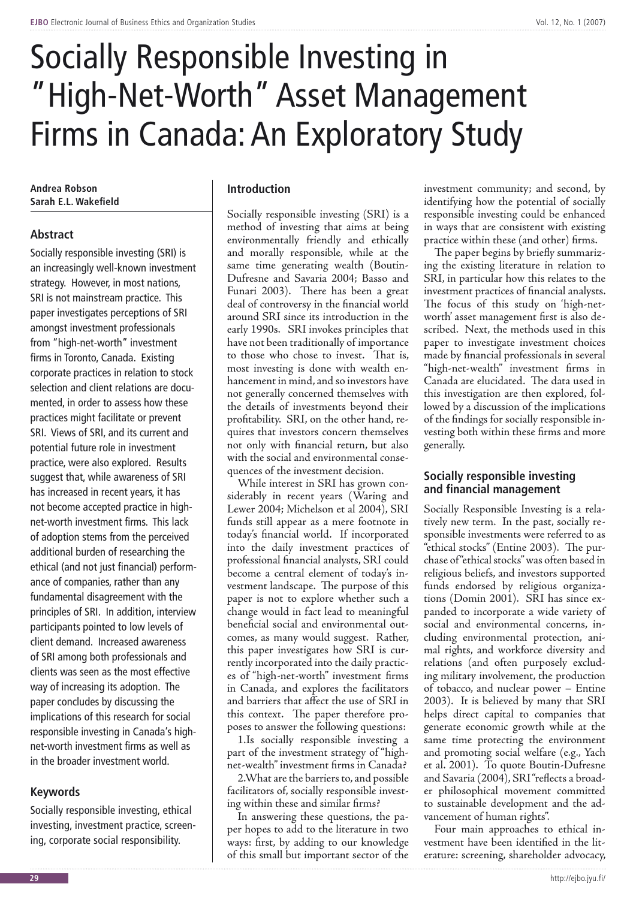# Socially Responsible Investing in "High-Net-Worth" Asset Management Firms in Canada: An Exploratory Study

**Andrea Robson Sarah E.L. Wakefield**

# **Abstract**

Socially responsible investing (SRI) is an increasingly well-known investment strategy. However, in most nations, SRI is not mainstream practice. This paper investigates perceptions of SRI amongst investment professionals from "high-net-worth" investment firms in Toronto, Canada. Existing corporate practices in relation to stock selection and client relations are documented, in order to assess how these practices might facilitate or prevent SRI. Views of SRI, and its current and potential future role in investment practice, were also explored. Results suggest that, while awareness of SRI has increased in recent years, it has not become accepted practice in highnet-worth investment firms. This lack of adoption stems from the perceived additional burden of researching the ethical (and not just financial) performance of companies, rather than any fundamental disagreement with the principles of SRI. In addition, interview participants pointed to low levels of client demand. Increased awareness of SRI among both professionals and clients was seen as the most effective way of increasing its adoption. The paper concludes by discussing the implications of this research for social responsible investing in Canada's highnet-worth investment firms as well as in the broader investment world.

# **Keywords**

Socially responsible investing, ethical investing, investment practice, screening, corporate social responsibility.

# **Introduction**

Socially responsible investing (SRI) is a method of investing that aims at being environmentally friendly and ethically and morally responsible, while at the same time generating wealth (Boutin-Dufresne and Savaria 2004; Basso and Funari 2003). There has been a great deal of controversy in the financial world around SRI since its introduction in the early 1990s. SRI invokes principles that have not been traditionally of importance to those who chose to invest. That is, most investing is done with wealth enhancement in mind, and so investors have not generally concerned themselves with the details of investments beyond their profitability. SRI, on the other hand, requires that investors concern themselves not only with financial return, but also with the social and environmental consequences of the investment decision.

While interest in SRI has grown considerably in recent years (Waring and Lewer 2004; Michelson et al 2004), SRI funds still appear as a mere footnote in today's financial world. If incorporated into the daily investment practices of professional financial analysts, SRI could become a central element of today's investment landscape. The purpose of this paper is not to explore whether such a change would in fact lead to meaningful beneficial social and environmental outcomes, as many would suggest. Rather, this paper investigates how SRI is currently incorporated into the daily practices of "high-net-worth" investment firms in Canada, and explores the facilitators and barriers that affect the use of SRI in this context. The paper therefore proposes to answer the following questions:

1.Is socially responsible investing a part of the investment strategy of "highnet-wealth" investment firms in Canada?

2.What are the barriers to, and possible facilitators of, socially responsible investing within these and similar firms?

In answering these questions, the paper hopes to add to the literature in two ways: first, by adding to our knowledge of this small but important sector of the

investment community; and second, by identifying how the potential of socially responsible investing could be enhanced in ways that are consistent with existing practice within these (and other) firms.

The paper begins by briefly summarizing the existing literature in relation to SRI, in particular how this relates to the investment practices of financial analysts. The focus of this study on 'high-networth' asset management first is also described. Next, the methods used in this paper to investigate investment choices made by financial professionals in several "high-net-wealth" investment firms in Canada are elucidated. The data used in this investigation are then explored, followed by a discussion of the implications of the findings for socially responsible investing both within these firms and more generally.

# **Socially responsible investing and financial management**

Socially Responsible Investing is a relatively new term. In the past, socially responsible investments were referred to as "ethical stocks" (Entine 2003). The purchase of "ethical stocks" was often based in religious beliefs, and investors supported funds endorsed by religious organizations (Domin 2001). SRI has since expanded to incorporate a wide variety of social and environmental concerns, including environmental protection, animal rights, and workforce diversity and relations (and often purposely excluding military involvement, the production of tobacco, and nuclear power – Entine 2003). It is believed by many that SRI helps direct capital to companies that generate economic growth while at the same time protecting the environment and promoting social welfare (e.g., Yach et al. 2001). To quote Boutin-Dufresne and Savaria (2004), SRI "reflects a broader philosophical movement committed to sustainable development and the advancement of human rights".

Four main approaches to ethical investment have been identified in the literature: screening, shareholder advocacy,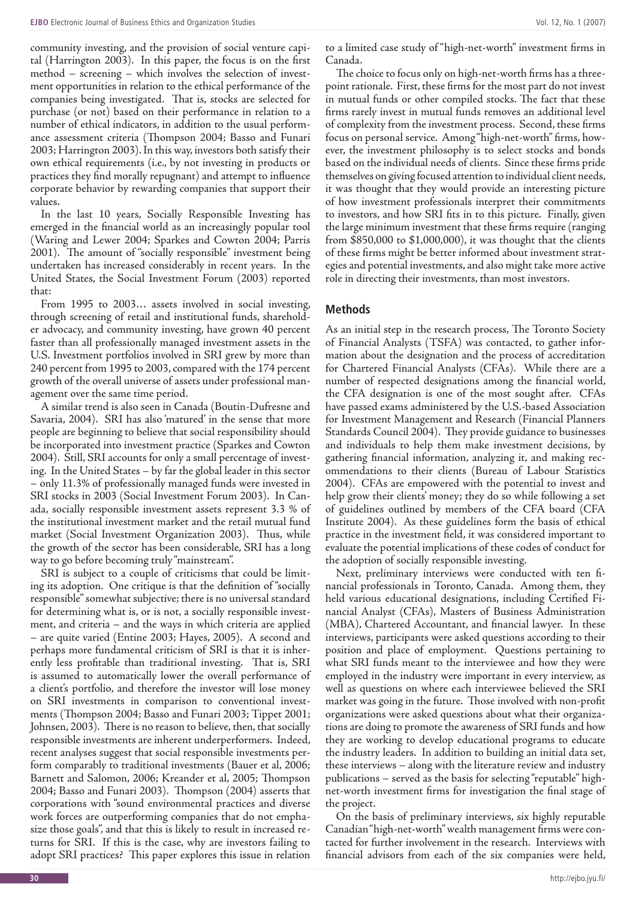community investing, and the provision of social venture capital (Harrington 2003). In this paper, the focus is on the first method – screening – which involves the selection of investment opportunities in relation to the ethical performance of the companies being investigated. That is, stocks are selected for purchase (or not) based on their performance in relation to a number of ethical indicators, in addition to the usual performance assessment criteria (Thompson 2004; Basso and Funari 2003; Harrington 2003). In this way, investors both satisfy their own ethical requirements (i.e., by not investing in products or practices they find morally repugnant) and attempt to influence corporate behavior by rewarding companies that support their values.

In the last 10 years, Socially Responsible Investing has emerged in the financial world as an increasingly popular tool (Waring and Lewer 2004; Sparkes and Cowton 2004; Parris 2001). The amount of "socially responsible" investment being undertaken has increased considerably in recent years. In the United States, the Social Investment Forum (2003) reported that:

From 1995 to 2003… assets involved in social investing, through screening of retail and institutional funds, shareholder advocacy, and community investing, have grown 40 percent faster than all professionally managed investment assets in the U.S. Investment portfolios involved in SRI grew by more than 240 percent from 1995 to 2003, compared with the 174 percent growth of the overall universe of assets under professional management over the same time period.

A similar trend is also seen in Canada (Boutin-Dufresne and Savaria, 2004). SRI has also 'matured' in the sense that more people are beginning to believe that social responsibility should be incorporated into investment practice (Sparkes and Cowton 2004). Still, SRI accounts for only a small percentage of investing. In the United States – by far the global leader in this sector – only 11.3% of professionally managed funds were invested in SRI stocks in 2003 (Social Investment Forum 2003). In Canada, socially responsible investment assets represent 3.3 % of the institutional investment market and the retail mutual fund market (Social Investment Organization 2003). Thus, while the growth of the sector has been considerable, SRI has a long way to go before becoming truly "mainstream".

SRI is subject to a couple of criticisms that could be limiting its adoption. One critique is that the definition of "socially responsible" somewhat subjective; there is no universal standard for determining what is, or is not, a socially responsible investment, and criteria – and the ways in which criteria are applied – are quite varied (Entine 2003; Hayes, 2005). A second and perhaps more fundamental criticism of SRI is that it is inherently less profitable than traditional investing. That is, SRI is assumed to automatically lower the overall performance of a client's portfolio, and therefore the investor will lose money on SRI investments in comparison to conventional investments (Thompson 2004; Basso and Funari 2003; Tippet 2001; Johnsen, 2003). There is no reason to believe, then, that socially responsible investments are inherent underperformers. Indeed, recent analyses suggest that social responsible investments perform comparably to traditional investments (Bauer et al, 2006; Barnett and Salomon, 2006; Kreander et al, 2005; Thompson 2004; Basso and Funari 2003). Thompson (2004) asserts that corporations with "sound environmental practices and diverse work forces are outperforming companies that do not emphasize those goals", and that this is likely to result in increased returns for SRI. If this is the case, why are investors failing to adopt SRI practices? This paper explores this issue in relation

to a limited case study of "high-net-worth" investment firms in Canada.

The choice to focus only on high-net-worth firms has a threepoint rationale. First, these firms for the most part do not invest in mutual funds or other compiled stocks. The fact that these firms rarely invest in mutual funds removes an additional level of complexity from the investment process. Second, these firms focus on personal service. Among "high-net-worth" firms, however, the investment philosophy is to select stocks and bonds based on the individual needs of clients. Since these firms pride themselves on giving focused attention to individual client needs, it was thought that they would provide an interesting picture of how investment professionals interpret their commitments to investors, and how SRI fits in to this picture. Finally, given the large minimum investment that these firms require (ranging from \$850,000 to \$1,000,000), it was thought that the clients of these firms might be better informed about investment strategies and potential investments, and also might take more active role in directing their investments, than most investors.

### **Methods**

As an initial step in the research process, The Toronto Society of Financial Analysts (TSFA) was contacted, to gather information about the designation and the process of accreditation for Chartered Financial Analysts (CFAs). While there are a number of respected designations among the financial world, the CFA designation is one of the most sought after. CFAs have passed exams administered by the U.S.-based Association for Investment Management and Research (Financial Planners Standards Council 2004). They provide guidance to businesses and individuals to help them make investment decisions, by gathering financial information, analyzing it, and making recommendations to their clients (Bureau of Labour Statistics 2004). CFAs are empowered with the potential to invest and help grow their clients' money; they do so while following a set of guidelines outlined by members of the CFA board (CFA Institute 2004). As these guidelines form the basis of ethical practice in the investment field, it was considered important to evaluate the potential implications of these codes of conduct for the adoption of socially responsible investing.

Next, preliminary interviews were conducted with ten financial professionals in Toronto, Canada. Among them, they held various educational designations, including Certified Financial Analyst (CFAs), Masters of Business Administration (MBA), Chartered Accountant, and financial lawyer. In these interviews, participants were asked questions according to their position and place of employment. Questions pertaining to what SRI funds meant to the interviewee and how they were employed in the industry were important in every interview, as well as questions on where each interviewee believed the SRI market was going in the future. Those involved with non-profit organizations were asked questions about what their organizations are doing to promote the awareness of SRI funds and how they are working to develop educational programs to educate the industry leaders. In addition to building an initial data set, these interviews – along with the literature review and industry publications – served as the basis for selecting "reputable" highnet-worth investment firms for investigation the final stage of the project.

On the basis of preliminary interviews, six highly reputable Canadian "high-net-worth" wealth management firms were contacted for further involvement in the research. Interviews with financial advisors from each of the six companies were held,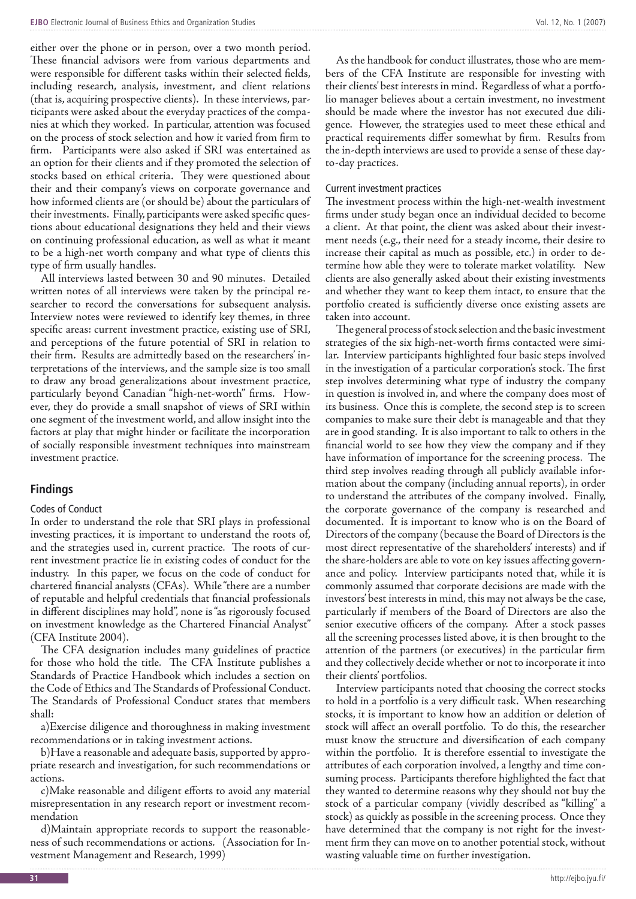either over the phone or in person, over a two month period. These financial advisors were from various departments and were responsible for different tasks within their selected fields, including research, analysis, investment, and client relations (that is, acquiring prospective clients). In these interviews, participants were asked about the everyday practices of the companies at which they worked. In particular, attention was focused on the process of stock selection and how it varied from firm to firm. Participants were also asked if SRI was entertained as an option for their clients and if they promoted the selection of stocks based on ethical criteria. They were questioned about their and their company's views on corporate governance and how informed clients are (or should be) about the particulars of their investments. Finally, participants were asked specific questions about educational designations they held and their views on continuing professional education, as well as what it meant to be a high-net worth company and what type of clients this type of firm usually handles.

All interviews lasted between 30 and 90 minutes. Detailed written notes of all interviews were taken by the principal researcher to record the conversations for subsequent analysis. Interview notes were reviewed to identify key themes, in three specific areas: current investment practice, existing use of SRI, and perceptions of the future potential of SRI in relation to their firm. Results are admittedly based on the researchers' interpretations of the interviews, and the sample size is too small to draw any broad generalizations about investment practice, particularly beyond Canadian "high-net-worth" firms. However, they do provide a small snapshot of views of SRI within one segment of the investment world, and allow insight into the factors at play that might hinder or facilitate the incorporation of socially responsible investment techniques into mainstream investment practice.

#### **Findings**

#### Codes of Conduct

In order to understand the role that SRI plays in professional investing practices, it is important to understand the roots of, and the strategies used in, current practice. The roots of current investment practice lie in existing codes of conduct for the industry. In this paper, we focus on the code of conduct for chartered financial analysts (CFAs). While "there are a number of reputable and helpful credentials that financial professionals in different disciplines may hold", none is "as rigorously focused on investment knowledge as the Chartered Financial Analyst" (CFA Institute 2004).

The CFA designation includes many guidelines of practice for those who hold the title. The CFA Institute publishes a Standards of Practice Handbook which includes a section on the Code of Ethics and The Standards of Professional Conduct. The Standards of Professional Conduct states that members shall:

a)Exercise diligence and thoroughness in making investment recommendations or in taking investment actions.

b)Have a reasonable and adequate basis, supported by appropriate research and investigation, for such recommendations or actions.

c)Make reasonable and diligent efforts to avoid any material misrepresentation in any research report or investment recommendation

d)Maintain appropriate records to support the reasonableness of such recommendations or actions. (Association for Investment Management and Research, 1999)

As the handbook for conduct illustrates, those who are members of the CFA Institute are responsible for investing with their clients' best interests in mind. Regardless of what a portfolio manager believes about a certain investment, no investment should be made where the investor has not executed due diligence. However, the strategies used to meet these ethical and practical requirements differ somewhat by firm. Results from the in-depth interviews are used to provide a sense of these dayto-day practices.

#### Current investment practices

The investment process within the high-net-wealth investment firms under study began once an individual decided to become a client. At that point, the client was asked about their investment needs (e.g., their need for a steady income, their desire to increase their capital as much as possible, etc.) in order to determine how able they were to tolerate market volatility. New clients are also generally asked about their existing investments and whether they want to keep them intact, to ensure that the portfolio created is sufficiently diverse once existing assets are taken into account.

The general process of stock selection and the basic investment strategies of the six high-net-worth firms contacted were similar. Interview participants highlighted four basic steps involved in the investigation of a particular corporation's stock. The first step involves determining what type of industry the company in question is involved in, and where the company does most of its business. Once this is complete, the second step is to screen companies to make sure their debt is manageable and that they are in good standing. It is also important to talk to others in the financial world to see how they view the company and if they have information of importance for the screening process. The third step involves reading through all publicly available information about the company (including annual reports), in order to understand the attributes of the company involved. Finally, the corporate governance of the company is researched and documented. It is important to know who is on the Board of Directors of the company (because the Board of Directors is the most direct representative of the shareholders' interests) and if the share-holders are able to vote on key issues affecting governance and policy. Interview participants noted that, while it is commonly assumed that corporate decisions are made with the investors' best interests in mind, this may not always be the case, particularly if members of the Board of Directors are also the senior executive officers of the company. After a stock passes all the screening processes listed above, it is then brought to the attention of the partners (or executives) in the particular firm and they collectively decide whether or not to incorporate it into their clients' portfolios.

Interview participants noted that choosing the correct stocks to hold in a portfolio is a very difficult task. When researching stocks, it is important to know how an addition or deletion of stock will affect an overall portfolio. To do this, the researcher must know the structure and diversification of each company within the portfolio. It is therefore essential to investigate the attributes of each corporation involved, a lengthy and time consuming process. Participants therefore highlighted the fact that they wanted to determine reasons why they should not buy the stock of a particular company (vividly described as "killing" a stock) as quickly as possible in the screening process. Once they have determined that the company is not right for the investment firm they can move on to another potential stock, without wasting valuable time on further investigation.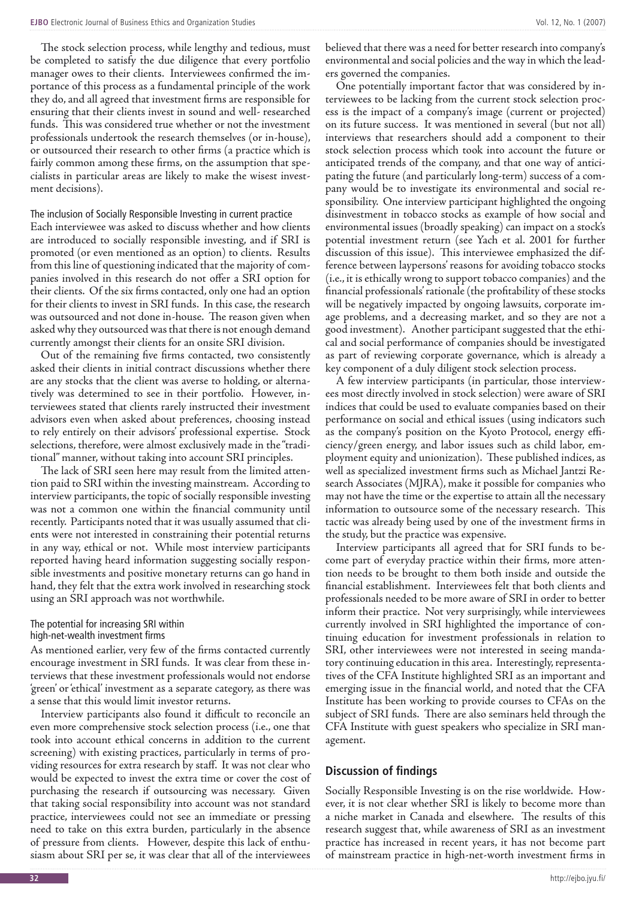The stock selection process, while lengthy and tedious, must be completed to satisfy the due diligence that every portfolio manager owes to their clients. Interviewees confirmed the importance of this process as a fundamental principle of the work they do, and all agreed that investment firms are responsible for ensuring that their clients invest in sound and well- researched funds. This was considered true whether or not the investment professionals undertook the research themselves (or in-house), or outsourced their research to other firms (a practice which is fairly common among these firms, on the assumption that specialists in particular areas are likely to make the wisest investment decisions).

The inclusion of Socially Responsible Investing in current practice Each interviewee was asked to discuss whether and how clients are introduced to socially responsible investing, and if SRI is promoted (or even mentioned as an option) to clients. Results from this line of questioning indicated that the majority of companies involved in this research do not offer a SRI option for their clients. Of the six firms contacted, only one had an option for their clients to invest in SRI funds. In this case, the research was outsourced and not done in-house. The reason given when asked why they outsourced was that there is not enough demand currently amongst their clients for an onsite SRI division.

Out of the remaining five firms contacted, two consistently asked their clients in initial contract discussions whether there are any stocks that the client was averse to holding, or alternatively was determined to see in their portfolio. However, interviewees stated that clients rarely instructed their investment advisors even when asked about preferences, choosing instead to rely entirely on their advisors' professional expertise. Stock selections, therefore, were almost exclusively made in the "traditional" manner, without taking into account SRI principles.

The lack of SRI seen here may result from the limited attention paid to SRI within the investing mainstream. According to interview participants, the topic of socially responsible investing was not a common one within the financial community until recently. Participants noted that it was usually assumed that clients were not interested in constraining their potential returns in any way, ethical or not. While most interview participants reported having heard information suggesting socially responsible investments and positive monetary returns can go hand in hand, they felt that the extra work involved in researching stock using an SRI approach was not worthwhile.

#### The potential for increasing SRI within high-net-wealth investment firms

As mentioned earlier, very few of the firms contacted currently encourage investment in SRI funds. It was clear from these interviews that these investment professionals would not endorse 'green' or 'ethical' investment as a separate category, as there was a sense that this would limit investor returns.

Interview participants also found it difficult to reconcile an even more comprehensive stock selection process (i.e., one that took into account ethical concerns in addition to the current screening) with existing practices, particularly in terms of providing resources for extra research by staff. It was not clear who would be expected to invest the extra time or cover the cost of purchasing the research if outsourcing was necessary. Given that taking social responsibility into account was not standard practice, interviewees could not see an immediate or pressing need to take on this extra burden, particularly in the absence of pressure from clients. However, despite this lack of enthusiasm about SRI per se, it was clear that all of the interviewees

believed that there was a need for better research into company's environmental and social policies and the way in which the leaders governed the companies.

One potentially important factor that was considered by interviewees to be lacking from the current stock selection process is the impact of a company's image (current or projected) on its future success. It was mentioned in several (but not all) interviews that researchers should add a component to their stock selection process which took into account the future or anticipated trends of the company, and that one way of anticipating the future (and particularly long-term) success of a company would be to investigate its environmental and social responsibility. One interview participant highlighted the ongoing disinvestment in tobacco stocks as example of how social and environmental issues (broadly speaking) can impact on a stock's potential investment return (see Yach et al. 2001 for further discussion of this issue). This interviewee emphasized the difference between laypersons' reasons for avoiding tobacco stocks (i.e., it is ethically wrong to support tobacco companies) and the financial professionals' rationale (the profitability of these stocks will be negatively impacted by ongoing lawsuits, corporate image problems, and a decreasing market, and so they are not a good investment). Another participant suggested that the ethical and social performance of companies should be investigated as part of reviewing corporate governance, which is already a key component of a duly diligent stock selection process.

A few interview participants (in particular, those interviewees most directly involved in stock selection) were aware of SRI indices that could be used to evaluate companies based on their performance on social and ethical issues (using indicators such as the company's position on the Kyoto Protocol, energy efficiency/green energy, and labor issues such as child labor, employment equity and unionization). These published indices, as well as specialized investment firms such as Michael Jantzi Research Associates (MJRA), make it possible for companies who may not have the time or the expertise to attain all the necessary information to outsource some of the necessary research. This tactic was already being used by one of the investment firms in the study, but the practice was expensive.

Interview participants all agreed that for SRI funds to become part of everyday practice within their firms, more attention needs to be brought to them both inside and outside the financial establishment. Interviewees felt that both clients and professionals needed to be more aware of SRI in order to better inform their practice. Not very surprisingly, while interviewees currently involved in SRI highlighted the importance of continuing education for investment professionals in relation to SRI, other interviewees were not interested in seeing mandatory continuing education in this area. Interestingly, representatives of the CFA Institute highlighted SRI as an important and emerging issue in the financial world, and noted that the CFA Institute has been working to provide courses to CFAs on the subject of SRI funds. There are also seminars held through the CFA Institute with guest speakers who specialize in SRI management.

# **Discussion of findings**

Socially Responsible Investing is on the rise worldwide. However, it is not clear whether SRI is likely to become more than a niche market in Canada and elsewhere. The results of this research suggest that, while awareness of SRI as an investment practice has increased in recent years, it has not become part of mainstream practice in high-net-worth investment firms in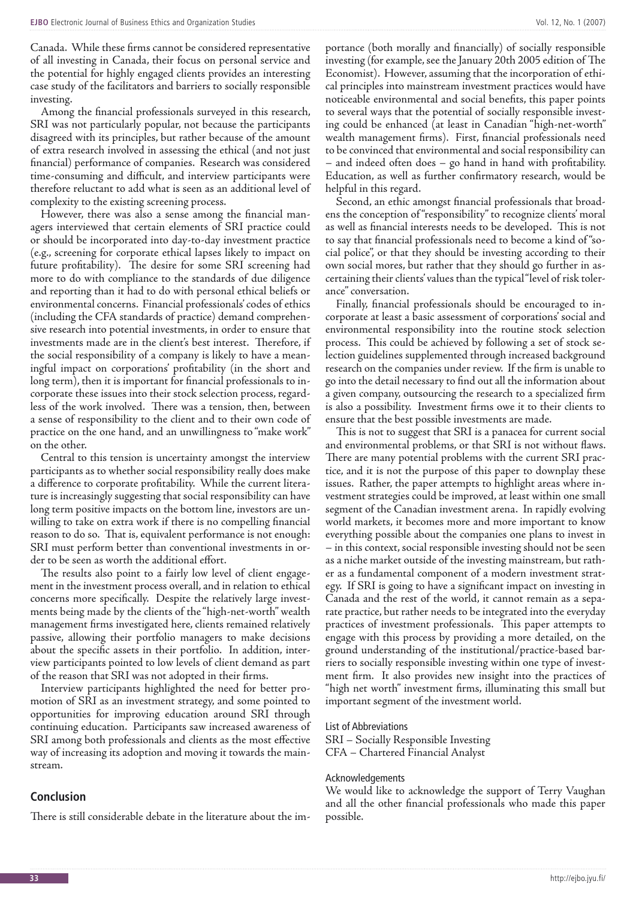Canada. While these firms cannot be considered representative of all investing in Canada, their focus on personal service and the potential for highly engaged clients provides an interesting case study of the facilitators and barriers to socially responsible investing.

Among the financial professionals surveyed in this research, SRI was not particularly popular, not because the participants disagreed with its principles, but rather because of the amount of extra research involved in assessing the ethical (and not just financial) performance of companies. Research was considered time-consuming and difficult, and interview participants were therefore reluctant to add what is seen as an additional level of complexity to the existing screening process.

However, there was also a sense among the financial managers interviewed that certain elements of SRI practice could or should be incorporated into day-to-day investment practice (e.g., screening for corporate ethical lapses likely to impact on future profitability). The desire for some SRI screening had more to do with compliance to the standards of due diligence and reporting than it had to do with personal ethical beliefs or environmental concerns. Financial professionals' codes of ethics (including the CFA standards of practice) demand comprehensive research into potential investments, in order to ensure that investments made are in the client's best interest. Therefore, if the social responsibility of a company is likely to have a meaningful impact on corporations' profitability (in the short and long term), then it is important for financial professionals to incorporate these issues into their stock selection process, regardless of the work involved. There was a tension, then, between a sense of responsibility to the client and to their own code of practice on the one hand, and an unwillingness to "make work" on the other.

Central to this tension is uncertainty amongst the interview participants as to whether social responsibility really does make a difference to corporate profitability. While the current literature is increasingly suggesting that social responsibility can have long term positive impacts on the bottom line, investors are unwilling to take on extra work if there is no compelling financial reason to do so. That is, equivalent performance is not enough: SRI must perform better than conventional investments in order to be seen as worth the additional effort.

The results also point to a fairly low level of client engagement in the investment process overall, and in relation to ethical concerns more specifically. Despite the relatively large investments being made by the clients of the "high-net-worth" wealth management firms investigated here, clients remained relatively passive, allowing their portfolio managers to make decisions about the specific assets in their portfolio. In addition, interview participants pointed to low levels of client demand as part of the reason that SRI was not adopted in their firms.

Interview participants highlighted the need for better promotion of SRI as an investment strategy, and some pointed to opportunities for improving education around SRI through continuing education. Participants saw increased awareness of SRI among both professionals and clients as the most effective way of increasing its adoption and moving it towards the mainstream.

#### **Conclusion**

There is still considerable debate in the literature about the im-

portance (both morally and financially) of socially responsible investing (for example, see the January 20th 2005 edition of The Economist). However, assuming that the incorporation of ethical principles into mainstream investment practices would have noticeable environmental and social benefits, this paper points to several ways that the potential of socially responsible investing could be enhanced (at least in Canadian "high-net-worth" wealth management firms). First, financial professionals need to be convinced that environmental and social responsibility can – and indeed often does – go hand in hand with profitability. Education, as well as further confirmatory research, would be helpful in this regard.

Second, an ethic amongst financial professionals that broadens the conception of "responsibility" to recognize clients' moral as well as financial interests needs to be developed. This is not to say that financial professionals need to become a kind of "social police", or that they should be investing according to their own social mores, but rather that they should go further in ascertaining their clients' values than the typical "level of risk tolerance" conversation.

Finally, financial professionals should be encouraged to incorporate at least a basic assessment of corporations' social and environmental responsibility into the routine stock selection process. This could be achieved by following a set of stock selection guidelines supplemented through increased background research on the companies under review. If the firm is unable to go into the detail necessary to find out all the information about a given company, outsourcing the research to a specialized firm is also a possibility. Investment firms owe it to their clients to ensure that the best possible investments are made.

This is not to suggest that SRI is a panacea for current social and environmental problems, or that SRI is not without flaws. There are many potential problems with the current SRI practice, and it is not the purpose of this paper to downplay these issues. Rather, the paper attempts to highlight areas where investment strategies could be improved, at least within one small segment of the Canadian investment arena. In rapidly evolving world markets, it becomes more and more important to know everything possible about the companies one plans to invest in – in this context, social responsible investing should not be seen as a niche market outside of the investing mainstream, but rather as a fundamental component of a modern investment strategy. If SRI is going to have a significant impact on investing in Canada and the rest of the world, it cannot remain as a separate practice, but rather needs to be integrated into the everyday practices of investment professionals. This paper attempts to engage with this process by providing a more detailed, on the ground understanding of the institutional/practice-based barriers to socially responsible investing within one type of investment firm. It also provides new insight into the practices of "high net worth" investment firms, illuminating this small but important segment of the investment world.

#### List of Abbreviations

SRI – Socially Responsible Investing CFA – Chartered Financial Analyst

#### Acknowledgements

We would like to acknowledge the support of Terry Vaughan and all the other financial professionals who made this paper possible.